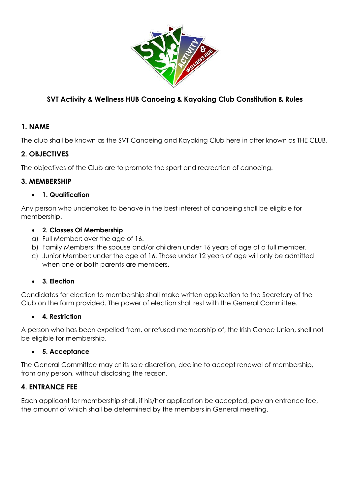

# **SVT Activity & Wellness HUB Canoeing & Kayaking Club Constitution & Rules**

## **1. NAME**

The club shall be known as the SVT Canoeing and Kayaking Club here in after known as THE CLUB.

## **2. OBJECTIVES**

The objectives of the Club are to promote the sport and recreation of canoeing.

## **3. MEMBERSHIP**

#### **1. Qualification**

Any person who undertakes to behave in the best interest of canoeing shall be eligible for membership.

#### **2. Classes Of Membership**

- a) Full Member: over the age of 16.
- b) Family Members: the spouse and/or children under 16 years of age of a full member.
- c) Junior Member: under the age of 16. Those under 12 years of age will only be admitted when one or both parents are members.

#### **3. Election**

Candidates for election to membership shall make written application to the Secretary of the Club on the form provided. The power of election shall rest with the General Committee.

#### **4. Restriction**

A person who has been expelled from, or refused membership of, the Irish Canoe Union, shall not be eligible for membership.

#### **5. Acceptance**

The General Committee may at its sole discretion, decline to accept renewal of membership, from any person, without disclosing the reason.

## **4. ENTRANCE FEE**

Each applicant for membership shall, if his/her application be accepted, pay an entrance fee, the amount of which shall be determined by the members in General meeting.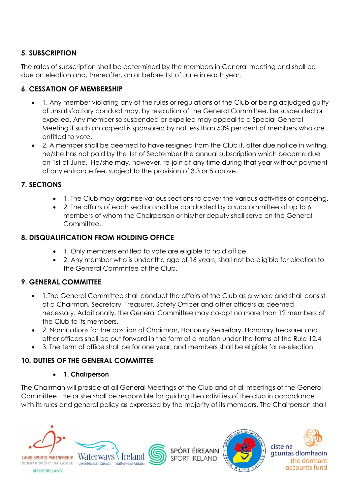## **5. SUBSCRIPTION**

The rates of subscription shall be determined by the members in General meeting and shall be due on election and, thereafter, on or before 1st of June in each year.

## **6. CESSATION OF MEMBERSHIP**

- 1. Any member violating any of the rules or regulations of the Club or being adjudged guilty of unsatisfactory conduct may, by resolution of the General Committee, be suspended or expelled. Any member so suspended or expelled may appeal to a Special General Meeting if such an appeal is sponsored by not less than 50% per cent of members who are entitled to vote.
- 2. A member shall be deemed to have resigned from the Club if, after due notice in writing, he/she has not paid by the 1st of September the annual subscription which became due on 1st of June. He/she may, however, re-join at any time during that year without payment of any entrance fee, subject to the provision of 3.3 or 5 above.

## **7. SECTIONS**

- 1. The Club may organise various sections to cover the various activities of canoeing.
- 2. The affairs of each section shall be conducted by a subcommittee of up to 6 members of whom the Chairperson or his/her deputy shall serve on the General Committee.

## **8. DISQUALIFICATION FROM HOLDING OFFICE**

- 1. Only members entitled to vote are eligible to hold office.
- 2. Any member who is under the age of 16 years, shall not be eligible for election to the General Committee of the Club.

## **9. GENERAL COMMITTEE**

- 1.The General Committee shall conduct the affairs of the Club as a whole and shall consist of a Chairman, Secretary, Treasurer, Safety Officer and other officers as deemed necessary. Additionally, the General Committee may co-opt no more than 12 members of the Club to its members.
- 2. Nominations for the position of Chairman, Honorary Secretary, Honorary Treasurer and other officers shall be put forward in the form of a motion under the terms of the Rule 12.4
- 3. The term of office shall be for one year, and members shall be eligible for re-election.

## **10. DUTIES OF THE GENERAL COMMITTEE**

#### **1. Chairperson**

The Chairman will preside at all General Meetings of the Club and at all meetings of the General Committee. He or she shall be responsible for guiding the activities of the club in accordance with its rules and general policy as expressed by the majority of its members. The Chairperson shall



- SPORT IRELAND -



SPÓRT ÉIREANN **SPORT IRELAND** 





gcuntas díomhaoin the dormant accounts fund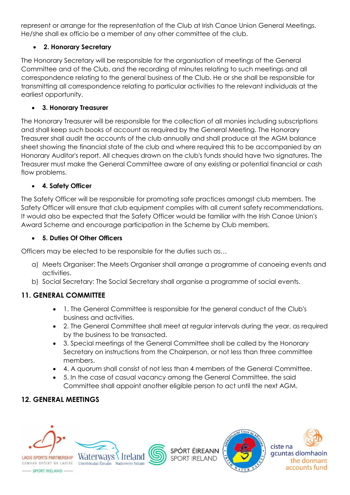represent or arrange for the representation of the Club at Irish Canoe Union General Meetings. He/she shall ex officio be a member of any other committee of the club.

## **2. Honorary Secretary**

The Honorary Secretary will be responsible for the organisation of meetings of the General Committee and of the Club, and the recording of minutes relating to such meetings and all correspondence relating to the general business of the Club. He or she shall be responsible for transmitting all correspondence relating to particular activities to the relevant individuals at the earliest opportunity.

## **3. Honorary Treasurer**

The Honorary Treasurer will be responsible for the collection of all monies including subscriptions and shall keep such books of account as required by the General Meeting. The Honorary Treasurer shall audit the accounts of the club annually and shall produce at the AGM balance sheet showing the financial state of the club and where required this to be accompanied by an Honorary Auditor's report. All cheques drawn on the club's funds should have two signatures. The Treasurer must make the General Committee aware of any existing or potential financial or cash flow problems.

## **4. Safety Officer**

The Safety Officer will be responsible for promoting safe practices amongst club members. The Safety Officer will ensure that club equipment complies with all current safety recommendations. It would also be expected that the Safety Officer would be familiar with the Irish Canoe Union's Award Scheme and encourage participation in the Scheme by Club members.

## **5. Duties Of Other Officers**

Officers may be elected to be responsible for the duties such as…

- a) Meets Organiser: The Meets Organiser shall arrange a programme of canoeing events and activities.
- b) Social Secretary: The Social Secretary shall organise a programme of social events.

# **11. GENERAL COMMITTEE**

- 1. The General Committee is responsible for the general conduct of the Club's business and activities.
- 2. The General Committee shall meet at regular intervals during the year, as required by the business to be transacted.
- 3. Special meetings of the General Committee shall be called by the Honorary Secretary on instructions from the Chairperson, or not less than three committee members.
- 4. A quorum shall consist of not less than 4 members of the General Committee.
- 5. In the case of casual vacancy among the General Committee, the said Committee shall appoint another eligible person to act until the next AGM.

# **12. GENERAL MEETINGS**







SPÓRT ÉIREANN **SPORT IRELAND** 



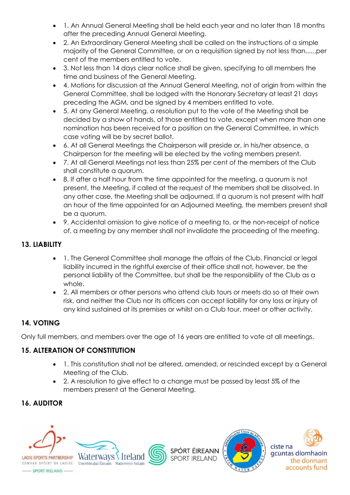- 1. An Annual General Meeting shall be held each year and no later than 18 months after the preceding Annual General Meeting.
- 2. An Extraordinary General Meeting shall be called on the instructions of a simple majority of the General Committee, or on a requisition signed by not less than......per cent of the members entitled to vote.
- 3. Not less than 14 days clear notice shall be given, specifying to all members the time and business of the General Meeting.
- 4. Motions for discussion at the Annual General Meeting, not of origin from within the General Committee, shall be lodged with the Honorary Secretary at least 21 days preceding the AGM, and be signed by 4 members entitled to vote.
- 5. At any General Meeting, a resolution put to the vote of the Meeting shall be decided by a show of hands, of those entitled to vote, except when more than one nomination has been received for a position on the General Committee, in which case voting will be by secret ballot.
- 6. At all General Meetings the Chairperson will preside or, in his/her absence, a Chairperson for the meeting will be elected by the voting members present.
- 7. At all General Meetings not less than 25% per cent of the members of the Club shall constitute a quorum.
- 8. If after a half hour from the time appointed for the meeting, a quorum is not present, the Meeting, if called at the request of the members shall be dissolved. In any other case, the Meeting shall be adjourned. If a quorum is not present with half an hour of the time appointed for an Adjourned Meeting, the members present shall be a quorum.
- 9. Accidental omission to give notice of a meeting to, or the non-receipt of notice of, a meeting by any member shall not invalidate the proceeding of the meeting.

## **13. LIABILITY**

- 1. The General Committee shall manage the affairs of the Club. Financial or legal liability incurred in the rightful exercise of their office shall not, however, be the personal liability of the Committee, but shall be the responsibility of the Club as a whole.
- 2. All members or other persons who attend club tours or meets do so at their own risk, and neither the Club nor its officers can accept liability for any loss or injury of any kind sustained at its premises or whilst on a Club tour, meet or other activity.

# **14. VOTING**

Only full members, and members over the age of 16 years are entitled to vote at all meetings.

# **15. ALTERATION OF CONSTITUTION**

- 1. This constitution shall not be altered, amended, or rescinded except by a General Meeting of the Club.
- 2. A resolution to give effect to a change must be passed by least 5% of the members present at the General Meeting.

# **16. AUDITOR**





SPÓRT ÉIREANN **SPORT IRELAND**